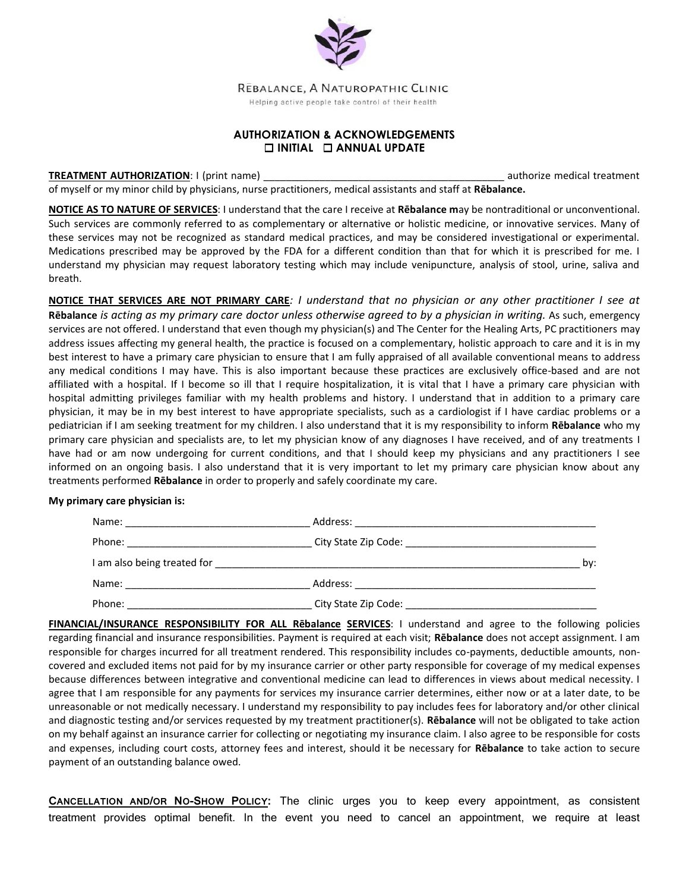

REBALANCE, A NATUROPATHIC CLINIC

Helping active people take control of their health

## **AUTHORIZATION & ACKNOWLEDGEMENTS INITIAL ANNUAL UPDATE**

**TREATMENT AUTHORIZATION:** I (print name) **authorize medical treatment** and the state of the state of the state of the state of the state of the state of the state of the state of the state of the state of the state of the of myself or my minor child by physicians, nurse practitioners, medical assistants and staff at **Rēbalance.**

**NOTICE AS TO NATURE OF SERVICES**: I understand that the care I receive at **Rēbalance m**ay be nontraditional or unconventional. Such services are commonly referred to as complementary or alternative or holistic medicine, or innovative services. Many of these services may not be recognized as standard medical practices, and may be considered investigational or experimental. Medications prescribed may be approved by the FDA for a different condition than that for which it is prescribed for me. I understand my physician may request laboratory testing which may include venipuncture, analysis of stool, urine, saliva and breath.

**NOTICE THAT SERVICES ARE NOT PRIMARY CARE***: I understand that no physician or any other practitioner I see at*  **Rēbalance** *is acting as my primary care doctor unless otherwise agreed to by a physician in writing.* As such, emergency services are not offered. I understand that even though my physician(s) and The Center for the Healing Arts, PC practitioners may address issues affecting my general health, the practice is focused on a complementary, holistic approach to care and it is in my best interest to have a primary care physician to ensure that I am fully appraised of all available conventional means to address any medical conditions I may have. This is also important because these practices are exclusively office-based and are not affiliated with a hospital. If I become so ill that I require hospitalization, it is vital that I have a primary care physician with hospital admitting privileges familiar with my health problems and history. I understand that in addition to a primary care physician, it may be in my best interest to have appropriate specialists, such as a cardiologist if I have cardiac problems or a pediatrician if I am seeking treatment for my children. I also understand that it is my responsibility to inform **Rēbalance** who my primary care physician and specialists are, to let my physician know of any diagnoses I have received, and of any treatments I have had or am now undergoing for current conditions, and that I should keep my physicians and any practitioners I see informed on an ongoing basis. I also understand that it is very important to let my primary care physician know about any treatments performed **Rēbalance** in order to properly and safely coordinate my care.

## **My primary care physician is:**

| Name:                                              | Address:             |     |
|----------------------------------------------------|----------------------|-----|
|                                                    |                      |     |
| I am also being treated for                        |                      | by: |
| Name:<br><u> 1980 - Jan Barbara, manazarta da </u> | Address:             |     |
| Phone:                                             | City State Zip Code: |     |

**FINANCIAL/INSURANCE RESPONSIBILITY FOR ALL Rēbalance SERVICES**: I understand and agree to the following policies regarding financial and insurance responsibilities. Payment is required at each visit; **Rēbalance** does not accept assignment. I am responsible for charges incurred for all treatment rendered. This responsibility includes co-payments, deductible amounts, noncovered and excluded items not paid for by my insurance carrier or other party responsible for coverage of my medical expenses because differences between integrative and conventional medicine can lead to differences in views about medical necessity. I agree that I am responsible for any payments for services my insurance carrier determines, either now or at a later date, to be unreasonable or not medically necessary. I understand my responsibility to pay includes fees for laboratory and/or other clinical and diagnostic testing and/or services requested by my treatment practitioner(s). **Rēbalance** will not be obligated to take action on my behalf against an insurance carrier for collecting or negotiating my insurance claim. I also agree to be responsible for costs and expenses, including court costs, attorney fees and interest, should it be necessary for **Rēbalance** to take action to secure payment of an outstanding balance owed.

**CANCELLATION AND/OR NO-SHOW POLICY:** The clinic urges you to keep every appointment, as consistent treatment provides optimal benefit. In the event you need to cancel an appointment, we require at least